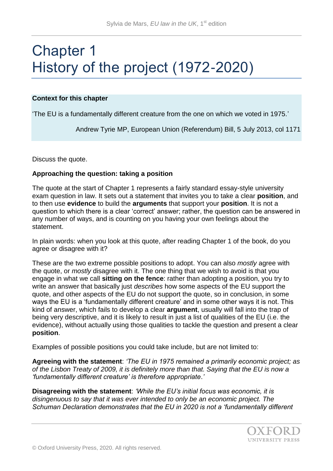# Chapter 1 History of the project (1972-2020)

### **Context for this chapter**

'The EU is a fundamentally different creature from the one on which we voted in 1975.'

Andrew Tyrie MP, European Union (Referendum) Bill, 5 July 2013, col 1171

Discuss the quote.

### **Approaching the question: taking a position**

The quote at the start of Chapter 1 represents a fairly standard essay-style university exam question in law. It sets out a statement that invites you to take a clear **position**, and to then use **evidence** to build the **arguments** that support your **position**. It is not a question to which there is a clear 'correct' answer; rather, the question can be answered in any number of ways, and is counting on you having your own feelings about the statement.

In plain words: when you look at this quote, after reading Chapter 1 of the book, do you agree or disagree with it?

These are the two extreme possible positions to adopt. You can also *mostly* agree with the quote, or *mostly* disagree with it. The one thing that we wish to avoid is that you engage in what we call **sitting on the fence**: rather than adopting a position, you try to write an answer that basically just *describes* how some aspects of the EU support the quote, and other aspects of the EU do not support the quote, so in conclusion, in some ways the EU is a 'fundamentally different creature' and in some other ways it is not. This kind of answer, which fails to develop a clear **argument**, usually will fall into the trap of being very descriptive, and it is likely to result in just a list of qualities of the EU (i.e. the evidence), without actually using those qualities to tackle the question and present a clear **position**.

Examples of possible positions you could take include, but are not limited to:

**Agreeing with the statement**: *'The EU in 1975 remained a primarily economic project; as of the Lisbon Treaty of 2009, it is definitely more than that. Saying that the EU is now a 'fundamentally different creature' is therefore appropriate*.*'*

**Disagreeing with the statement**: *'While the EU's initial focus was economic, it is disingenuous to say that it was ever intended to only be an economic project. The Schuman Declaration demonstrates that the EU in 2020 is not a 'fundamentally different*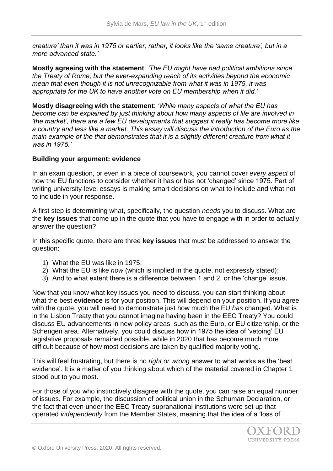*creature' than it was in 1975 or earlier; rather, it looks like the 'same creature', but in a more advanced state.'* 

**Mostly agreeing with the statement**: *'The EU might have had political ambitions since the Treaty of Rome, but the ever-expanding reach of its activities beyond the economic mean that even though it is not unrecognizable from what it was in 1975, it was appropriate for the UK to have another vote on EU membership when it did.'*

**Mostly disagreeing with the statement**: *'While many aspects of what the EU has become can be explained by just thinking about how many aspects of life are involved in 'the market', there are a few EU developments that suggest it really has become more like a country and less like a market. This essay will discuss the introduction of the Euro as the main example of the that demonstrates that it is a slightly different creature from what it was in 1975.'*

### **Building your argument: evidence**

In an exam question, or even in a piece of coursework, you cannot cover *every aspect* of how the EU functions to consider whether it has or has not 'changed' since 1975. Part of writing university-level essays is making smart decisions on what to include and what not to include in your response.

A first step is determining what, specifically, the question *needs* you to discuss. What are the **key issues** that come up in the quote that you have to engage with in order to actually answer the question?

In this specific quote, there are three **key issues** that must be addressed to answer the question:

- 1) What the EU was like in 1975;
- 2) What the EU is like *now* (which is implied in the quote, not expressly stated);
- 3) And to what extent there is a difference between 1 and 2, or the 'change' issue.

Now that you know what key issues you need to discuss, you can start thinking about what the best **evidence** is for your position. This will depend on your position. If you agree with the quote, you will need to demonstrate just how much the EU *has* changed. What is in the Lisbon Treaty that you cannot imagine having been in the EEC Treaty? You could discuss EU advancements in new policy areas, such as the Euro, or EU citizenship, or the Schengen area. Alternatively, you could discuss how in 1975 the idea of 'vetoing' EU legislative proposals remained possible, while in 2020 that has become much more difficult because of how most decisions are taken by qualified majority voting.

This will feel frustrating, but there is no *right or wrong* answer to what works as the 'best evidence'. It is a matter of you thinking about which of the material covered in Chapter 1 stood out to you most.

For those of you who instinctively disagree with the quote, you can raise an equal number of issues. For example, the discussion of political union in the Schuman Declaration, or the fact that even under the EEC Treaty supranational institutions were set up that operated *independently* from the Member States, meaning that the idea of a 'loss of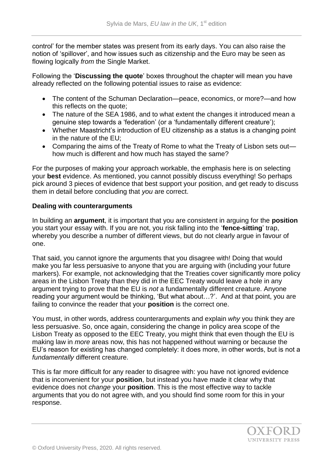control' for the member states was present from its early days. You can also raise the notion of 'spillover', and how issues such as citizenship and the Euro may be seen as flowing logically *from* the Single Market.

Following the '**Discussing the quote**' boxes throughout the chapter will mean you have already reflected on the following potential issues to raise as evidence:

- The content of the Schuman Declaration—peace, economics, or more?—and how this reflects on the quote;
- The nature of the SEA 1986, and to what extent the changes it introduced mean a genuine step towards a 'federation' (or a 'fundamentally different creature');
- Whether Maastricht's introduction of EU citizenship as a status is a changing point in the nature of the EU;
- Comparing the aims of the Treaty of Rome to what the Treaty of Lisbon sets out how much is different and how much has stayed the same?

For the purposes of making your approach workable, the emphasis here is on selecting your **best** evidence. As mentioned, you cannot possibly discuss everything! So perhaps pick around 3 pieces of evidence that best support your position, and get ready to discuss them in detail before concluding that *you* are correct.

## **Dealing with counterarguments**

In building an **argument**, it is important that you are consistent in arguing for the **position**  you start your essay with. If you are not, you risk falling into the '**fence-sitting**' trap, whereby you describe a number of different views, but do not clearly argue in favour of one.

That said, you cannot ignore the arguments that you disagree with! Doing that would make you far less persuasive to anyone that you are arguing with (including your future markers). For example, not acknowledging that the Treaties cover significantly more policy areas in the Lisbon Treaty than they did in the EEC Treaty would leave a hole in any argument trying to prove that the EU is *not* a fundamentally different creature. Anyone reading your argument would be thinking, 'But what about…?'. And at that point, you are failing to convince the reader that your **position** is the correct one.

You must, in other words, address counterarguments and explain *why* you think they are less persuasive. So, once again, considering the change in policy area scope of the Lisbon Treaty as opposed to the EEC Treaty, you might think that even though the EU is making law in *more* areas now, this has not happened without warning or because the EU's reason for existing has changed completely: it does more, in other words, but is not a *fundamentally* different creature.

This is far more difficult for any reader to disagree with: you have not ignored evidence that is inconvenient for your **position**, but instead you have made it clear why that evidence does not *change* your **position**. This is the most effective way to tackle arguments that you do not agree with, and you should find some room for this in your response.